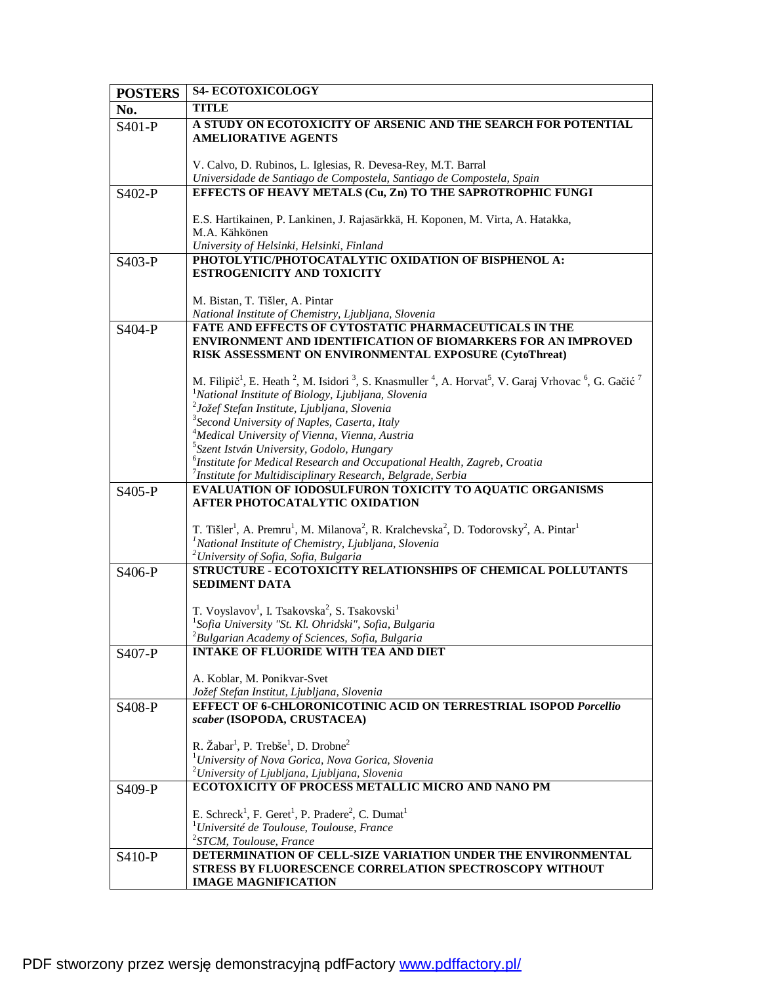| <b>POSTERS</b>      | <b>S4- ECOTOXICOLOGY</b>                                                                                                                                                                |
|---------------------|-----------------------------------------------------------------------------------------------------------------------------------------------------------------------------------------|
| No.                 | <b>TITLE</b>                                                                                                                                                                            |
| S401-P              | A STUDY ON ECOTOXICITY OF ARSENIC AND THE SEARCH FOR POTENTIAL                                                                                                                          |
|                     | <b>AMELIORATIVE AGENTS</b>                                                                                                                                                              |
|                     |                                                                                                                                                                                         |
|                     | V. Calvo, D. Rubinos, L. Iglesias, R. Devesa-Rey, M.T. Barral                                                                                                                           |
|                     | Universidade de Santiago de Compostela, Santiago de Compostela, Spain                                                                                                                   |
| S402-P              | EFFECTS OF HEAVY METALS (Cu, Zn) TO THE SAPROTROPHIC FUNGI                                                                                                                              |
|                     |                                                                                                                                                                                         |
|                     | E.S. Hartikainen, P. Lankinen, J. Rajasärkkä, H. Koponen, M. Virta, A. Hatakka,<br>M.A. Kähkönen                                                                                        |
|                     | University of Helsinki, Helsinki, Finland                                                                                                                                               |
| S <sub>403</sub> -P | PHOTOLYTIC/PHOTOCATALYTIC OXIDATION OF BISPHENOL A:                                                                                                                                     |
|                     | ESTROGENICITY AND TOXICITY                                                                                                                                                              |
|                     |                                                                                                                                                                                         |
|                     | M. Bistan, T. Tišler, A. Pintar                                                                                                                                                         |
|                     | National Institute of Chemistry, Ljubljana, Slovenia                                                                                                                                    |
| S404-P              | <b>FATE AND EFFECTS OF CYTOSTATIC PHARMACEUTICALS IN THE</b>                                                                                                                            |
|                     | <b>ENVIRONMENT AND IDENTIFICATION OF BIOMARKERS FOR AN IMPROVED</b>                                                                                                                     |
|                     | RISK ASSESSMENT ON ENVIRONMENTAL EXPOSURE (CytoThreat)                                                                                                                                  |
|                     | M. Filipič <sup>1</sup> , E. Heath <sup>2</sup> , M. Isidori <sup>3</sup> , S. Knasmuller <sup>4</sup> , A. Horvat <sup>5</sup> , V. Garaj Vrhovac <sup>6</sup> , G. Gačić <sup>7</sup> |
|                     | <sup>1</sup> National Institute of Biology, Ljubljana, Slovenia                                                                                                                         |
|                     | <sup>2</sup> Jožef Stefan Institute, Ljubljana, Slovenia                                                                                                                                |
|                     | <sup>3</sup> Second University of Naples, Caserta, Italy                                                                                                                                |
|                     | <sup>4</sup> Medical University of Vienna, Vienna, Austria                                                                                                                              |
|                     | <sup>5</sup> Szent István University, Godolo, Hungary                                                                                                                                   |
|                     | <sup>6</sup> Institute for Medical Research and Occupational Health, Zagreb, Croatia                                                                                                    |
|                     | $\frac{7}{7}$ Institute for Multidisciplinary Research, Belgrade, Serbia                                                                                                                |
| S405-P              | EVALUATION OF IODOSULFURON TOXICITY TO AQUATIC ORGANISMS                                                                                                                                |
|                     | AFTER PHOTOCATALYTIC OXIDATION                                                                                                                                                          |
|                     | T. Tišler <sup>1</sup> , A. Premru <sup>1</sup> , M. Milanova <sup>2</sup> , R. Kralchevska <sup>2</sup> , D. Todorovsky <sup>2</sup> , A. Pintar <sup>1</sup>                          |
|                     | <sup>1</sup> National Institute of Chemistry, Ljubljana, Slovenia                                                                                                                       |
|                     | <sup>2</sup> University of Sofia, Sofia, Bulgaria                                                                                                                                       |
| S406-P              | <b>STRUCTURE - ECOTOXICITY RELATIONSHIPS OF CHEMICAL POLLUTANTS</b>                                                                                                                     |
|                     | <b>SEDIMENT DATA</b>                                                                                                                                                                    |
|                     |                                                                                                                                                                                         |
|                     | T. Voyslavov <sup>1</sup> , I. Tsakovska <sup>2</sup> , S. Tsakovski <sup>1</sup>                                                                                                       |
|                     | <sup>1</sup> Sofia University "St. Kl. Ohridski", Sofia, Bulgaria<br>$2$ Bulgarian Academy of Sciences, Sofia, Bulgaria                                                                 |
|                     | <b>INTAKE OF FLUORIDE WITH TEA AND DIET</b>                                                                                                                                             |
| S407-P              |                                                                                                                                                                                         |
|                     | A. Koblar, M. Ponikvar-Svet                                                                                                                                                             |
|                     | Jožef Stefan Institut, Ljubljana, Slovenia                                                                                                                                              |
| S408-P              | <b>EFFECT OF 6-CHLORONICOTINIC ACID ON TERRESTRIAL ISOPOD Porcellio</b>                                                                                                                 |
|                     | scaber (ISOPODA, CRUSTACEA)                                                                                                                                                             |
|                     |                                                                                                                                                                                         |
|                     | R. Žabar <sup>1</sup> , P. Trebše <sup>1</sup> , D. Drobne <sup>2</sup>                                                                                                                 |
|                     | <sup>1</sup> University of Nova Gorica, Nova Gorica, Slovenia<br><sup>2</sup> University of Ljubljana, Ljubljana, Slovenia                                                              |
|                     | ECOTOXICITY OF PROCESS METALLIC MICRO AND NANO PM                                                                                                                                       |
| S409-P              |                                                                                                                                                                                         |
|                     | E. Schreck <sup>1</sup> , F. Geret <sup>1</sup> , P. Pradere <sup>2</sup> , C. Dumat <sup>1</sup>                                                                                       |
|                     | $1$ Université de Toulouse, Toulouse, France                                                                                                                                            |
|                     | <sup>2</sup> STCM, Toulouse, France                                                                                                                                                     |
| S410-P              | DETERMINATION OF CELL-SIZE VARIATION UNDER THE ENVIRONMENTAL                                                                                                                            |
|                     | STRESS BY FLUORESCENCE CORRELATION SPECTROSCOPY WITHOUT                                                                                                                                 |
|                     | <b>IMAGE MAGNIFICATION</b>                                                                                                                                                              |